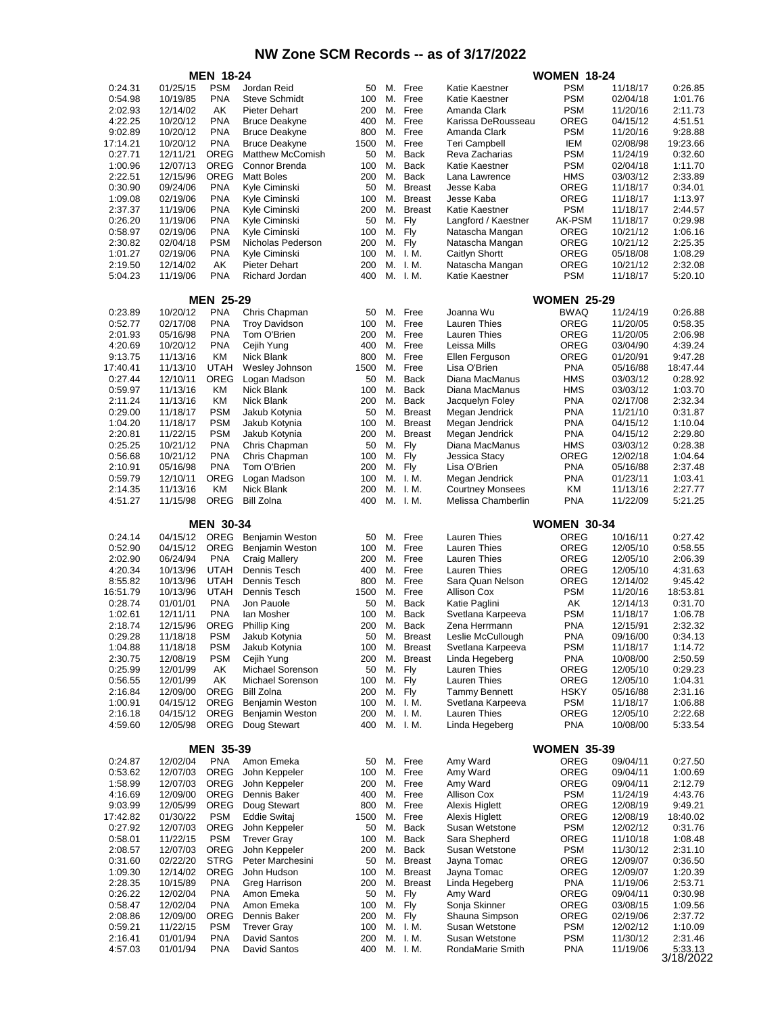|                     |                      | <b>MEN 18-24</b>           |                                          |            |          |                            |                                        | <b>WOMEN 18-24</b>       |                      |                     |
|---------------------|----------------------|----------------------------|------------------------------------------|------------|----------|----------------------------|----------------------------------------|--------------------------|----------------------|---------------------|
| 0:24.31             | 01/25/15             | <b>PSM</b>                 | Jordan Reid                              | 50         | М.       | Free                       | Katie Kaestner                         | <b>PSM</b>               | 11/18/17             | 0:26.85             |
| 0:54.98             | 10/19/85             | <b>PNA</b>                 | <b>Steve Schmidt</b>                     | 100        | М.       | Free                       | Katie Kaestner                         | <b>PSM</b>               | 02/04/18             | 1:01.76             |
| 2:02.93             | 12/14/02             | AK                         | <b>Pieter Dehart</b>                     | 200        | М.       | Free                       | Amanda Clark                           | <b>PSM</b>               | 11/20/16             | 2:11.73             |
| 4:22.25             | 10/20/12             | <b>PNA</b>                 | <b>Bruce Deakyne</b>                     | 400        | М.       | Free                       | Karissa DeRousseau                     | OREG                     | 04/15/12             | 4:51.51             |
| 9:02.89             | 10/20/12             | <b>PNA</b>                 | <b>Bruce Deakyne</b>                     | 800        | М.       | Free                       | Amanda Clark                           | <b>PSM</b>               | 11/20/16             | 9:28.88             |
| 17:14.21            | 10/20/12             | <b>PNA</b>                 | <b>Bruce Deakyne</b>                     | 1500       | М.       | Free                       | <b>Teri Campbell</b>                   | IEM                      | 02/08/98             | 19:23.66            |
| 0:27.71<br>1:00.96  | 12/11/21<br>12/07/13 | <b>OREG</b><br><b>OREG</b> | <b>Matthew McComish</b><br>Connor Brenda | 50<br>100  | М.<br>М. | <b>Back</b><br><b>Back</b> | Reva Zacharias<br>Katie Kaestner       | <b>PSM</b><br><b>PSM</b> | 11/24/19<br>02/04/18 | 0:32.60<br>1:11.70  |
| 2:22.51             | 12/15/96             | <b>OREG</b>                | <b>Matt Boles</b>                        | 200        | М.       | <b>Back</b>                | Lana Lawrence                          | <b>HMS</b>               | 03/03/12             | 2:33.89             |
| 0:30.90             | 09/24/06             | <b>PNA</b>                 | Kyle Ciminski                            | 50         | М.       | <b>Breast</b>              | Jesse Kaba                             | OREG                     | 11/18/17             | 0:34.01             |
| 1:09.08             | 02/19/06             | <b>PNA</b>                 | Kyle Ciminski                            | 100        | М.       | <b>Breast</b>              | Jesse Kaba                             | OREG                     | 11/18/17             | 1:13.97             |
| 2:37.37             | 11/19/06             | <b>PNA</b>                 | Kyle Ciminski                            | 200        | М.       | <b>Breast</b>              | Katie Kaestner                         | <b>PSM</b>               | 11/18/17             | 2:44.57             |
| 0:26.20             | 11/19/06             | <b>PNA</b>                 | Kyle Ciminski                            | 50         | М.       | Fly                        | Langford / Kaestner                    | AK-PSM                   | 11/18/17             | 0:29.98             |
| 0:58.97             | 02/19/06             | <b>PNA</b>                 | Kyle Ciminski                            | 100        | М.       | Fly                        | Natascha Mangan                        | OREG                     | 10/21/12             | 1:06.16             |
| 2:30.82             | 02/04/18             | <b>PSM</b>                 | Nicholas Pederson                        | 200        | М.       | Fly                        | Natascha Mangan                        | OREG                     | 10/21/12             | 2:25.35             |
| 1:01.27             | 02/19/06             | <b>PNA</b>                 | Kyle Ciminski                            | 100        | М.       | I. M.                      | Caitlyn Shortt                         | OREG                     | 05/18/08             | 1:08.29             |
| 2:19.50             | 12/14/02             | АK                         | <b>Pieter Dehart</b>                     | 200        | М.       | I. M.                      | Natascha Mangan                        | OREG                     | 10/21/12             | 2:32.08             |
| 5:04.23             | 11/19/06             | <b>PNA</b>                 | Richard Jordan                           | 400        | М.       | I. M.                      | Katie Kaestner                         | <b>PSM</b>               | 11/18/17             | 5:20.10             |
|                     |                      | <b>MEN 25-29</b>           |                                          |            |          |                            |                                        | <b>WOMEN 25-29</b>       |                      |                     |
| 0:23.89             | 10/20/12             | <b>PNA</b>                 |                                          | 50         | М.       | Free                       |                                        | <b>BWAQ</b>              | 11/24/19             |                     |
| 0:52.77             | 02/17/08             | <b>PNA</b>                 | Chris Chapman<br><b>Troy Davidson</b>    | 100        | М.       | Free                       | Joanna Wu<br><b>Lauren Thies</b>       | OREG                     | 11/20/05             | 0:26.88<br>0:58.35  |
| 2:01.93             | 05/16/98             | <b>PNA</b>                 | Tom O'Brien                              | 200        | М.       | Free                       | Lauren Thies                           | OREG                     | 11/20/05             | 2:06.98             |
| 4:20.69             | 10/20/12             | <b>PNA</b>                 | Cejih Yung                               | 400        | М.       | Free                       | Leissa Mills                           | OREG                     | 03/04/90             | 4:39.24             |
| 9:13.75             | 11/13/16             | KM                         | Nick Blank                               | 800        | М.       | Free                       | Ellen Ferguson                         | OREG                     | 01/20/91             | 9:47.28             |
| 17:40.41            | 11/13/10             | <b>UTAH</b>                | Wesley Johnson                           | 1500       | М.       | Free                       | Lisa O'Brien                           | <b>PNA</b>               | 05/16/88             | 18:47.44            |
| 0:27.44             | 12/10/11             | <b>OREG</b>                | Logan Madson                             | 50         | М.       | <b>Back</b>                | Diana MacManus                         | <b>HMS</b>               | 03/03/12             | 0:28.92             |
| 0:59.97             | 11/13/16             | ΚM                         | Nick Blank                               | 100        | М.       | <b>Back</b>                | Diana MacManus                         | <b>HMS</b>               | 03/03/12             | 1:03.70             |
| 2:11.24             | 11/13/16             | ΚM                         | Nick Blank                               | 200        | М.       | Back                       | Jacquelyn Foley                        | <b>PNA</b>               | 02/17/08             | 2:32.34             |
| 0:29.00             | 11/18/17             | <b>PSM</b>                 | Jakub Kotynia                            | 50         | М.       | <b>Breast</b>              | Megan Jendrick                         | PNA                      | 11/21/10             | 0:31.87             |
| 1:04.20             | 11/18/17             | <b>PSM</b>                 | Jakub Kotynia                            | 100        | М.       | <b>Breast</b>              | Megan Jendrick                         | PNA                      | 04/15/12             | 1:10.04             |
| 2:20.81             | 11/22/15             | <b>PSM</b>                 | Jakub Kotynia                            | 200        | М.       | <b>Breast</b>              | Megan Jendrick                         | PNA                      | 04/15/12             | 2:29.80             |
| 0:25.25             | 10/21/12             | <b>PNA</b>                 | Chris Chapman                            | 50         | М.       | Fly                        | Diana MacManus                         | <b>HMS</b>               | 03/03/12             | 0:28.38             |
| 0:56.68             | 10/21/12             | <b>PNA</b><br><b>PNA</b>   | Chris Chapman                            | 100        | М.<br>М. | Fly                        | Jessica Stacy                          | OREG                     | 12/02/18             | 1:04.64             |
| 2:10.91<br>0:59.79  | 05/16/98<br>12/10/11 | <b>OREG</b>                | Tom O'Brien<br>Logan Madson              | 200<br>100 | М.       | Fly<br>I. M.               | Lisa O'Brien<br>Megan Jendrick         | PNA<br><b>PNA</b>        | 05/16/88<br>01/23/11 | 2:37.48<br>1:03.41  |
| 2:14.35             | 11/13/16             | ΚM                         | Nick Blank                               | 200        | М.       | I. M.                      | <b>Courtney Monsees</b>                | ΚM                       | 11/13/16             | 2:27.77             |
| 4:51.27             | 11/15/98             | OREG                       | <b>Bill Zolna</b>                        | 400        |          | M. I.M.                    | Melissa Chamberlin                     | PNA                      | 11/22/09             | 5:21.25             |
|                     |                      |                            |                                          |            |          |                            |                                        |                          |                      |                     |
|                     |                      | <b>MEN 30-34</b>           |                                          |            |          |                            |                                        | <b>WOMEN 30-34</b>       |                      |                     |
| 0:24.14             | 04/15/12             | OREG                       | Benjamin Weston                          | 50         | М.       | Free                       | <b>Lauren Thies</b>                    | OREG                     | 10/16/11             | 0:27.42             |
| 0:52.90             | 04/15/12             | <b>OREG</b>                | Benjamin Weston                          | 100        | М.       | Free                       | Lauren Thies                           | OREG                     | 12/05/10             | 0:58.55             |
| 2:02.90             | 06/24/94             | <b>PNA</b>                 | <b>Craig Mallery</b>                     | 200        | М.       | Free                       | Lauren Thies                           | OREG                     | 12/05/10             | 2:06.39             |
| 4:20.34             | 10/13/96             | <b>UTAH</b>                | Dennis Tesch                             | 400        | М.       | Free                       | Lauren Thies                           | OREG                     | 12/05/10             | 4:31.63             |
| 8:55.82             | 10/13/96             | <b>UTAH</b><br><b>UTAH</b> | Dennis Tesch                             | 800        | М.       | Free                       | Sara Quan Nelson                       | OREG<br><b>PSM</b>       | 12/14/02             | 9:45.42             |
| 16:51.79<br>0:28.74 | 10/13/96<br>01/01/01 | <b>PNA</b>                 | Dennis Tesch<br>Jon Pauole               | 1500<br>50 | М.<br>М. | Free<br><b>Back</b>        | <b>Allison Cox</b><br>Katie Paglini    | AK                       | 11/20/16<br>12/14/13 | 18:53.81<br>0:31.70 |
| 1:02.61             | 12/11/11             | <b>PNA</b>                 | lan Mosher                               | 100        | М.       | <b>Back</b>                | Svetlana Karpeeva                      | <b>PSM</b>               | 11/18/17             | 1:06.78             |
| 2:18.74             | 12/15/96             |                            | <b>Phillip King</b>                      |            | М.       | <b>Back</b>                |                                        |                          | 12/15/91             |                     |
| 0:29.28             |                      |                            |                                          |            |          |                            |                                        |                          |                      |                     |
|                     | 11/18/18             | <b>OREG</b>                |                                          | 200<br>50  |          |                            | Zena Herrmann                          | <b>PNA</b>               |                      | 2:32.32             |
|                     | 11/18/18             | <b>PSM</b><br><b>PSM</b>   | Jakub Kotynia                            | 100        | M.       | M. Breast<br><b>Breast</b> | Leslie McCullough<br>Svetlana Karpeeva | <b>PNA</b>               | 09/16/00<br>11/18/17 | 0:34.13<br>1:14.72  |
| 1:04.88<br>2:30.75  | 12/08/19             | <b>PSM</b>                 | Jakub Kotynia<br>Cejih Yung              | 200        | Μ.       | <b>Breast</b>              | Linda Hegeberg                         | <b>PSM</b><br><b>PNA</b> | 10/08/00             | 2:50.59             |
| 0:25.99             | 12/01/99             | AK                         | Michael Sorenson                         | 50         | М.       | Fly                        | <b>Lauren Thies</b>                    | OREG                     | 12/05/10             | 0:29.23             |
| 0:56.55             | 12/01/99             | AK                         | Michael Sorenson                         | 100        | М.       | Fly                        | <b>Lauren Thies</b>                    | OREG                     | 12/05/10             | 1:04.31             |
| 2:16.84             | 12/09/00             | OREG                       | <b>Bill Zolna</b>                        | 200        | М.       | Fly                        | <b>Tammy Bennett</b>                   | <b>HSKY</b>              | 05/16/88             | 2:31.16             |
| 1:00.91             | 04/15/12             | OREG                       | Benjamin Weston                          | 100        | М.       | I. M.                      | Svetlana Karpeeva                      | <b>PSM</b>               | 11/18/17             | 1:06.88             |
| 2:16.18             | 04/15/12             | OREG                       | Benjamin Weston                          | 200        | Μ.       | I. M.                      | <b>Lauren Thies</b>                    | OREG                     | 12/05/10             | 2:22.68             |
| 4:59.60             | 12/05/98             | OREG                       | Doug Stewart                             | 400        |          | M. I.M.                    | Linda Hegeberg                         | <b>PNA</b>               | 10/08/00             | 5:33.54             |
|                     |                      |                            |                                          |            |          |                            |                                        |                          |                      |                     |
|                     |                      | <b>MEN 35-39</b>           |                                          |            |          |                            |                                        | <b>WOMEN 35-39</b>       |                      |                     |
| 0:24.87<br>0:53.62  | 12/02/04<br>12/07/03 | <b>PNA</b><br><b>OREG</b>  | Amon Emeka<br>John Keppeler              | 50<br>100  | М.<br>М. | Free<br>Free               | Amy Ward<br>Amy Ward                   | OREG<br>OREG             | 09/04/11<br>09/04/11 | 0:27.50<br>1:00.69  |
| 1:58.99             | 12/07/03             | OREG                       | John Keppeler                            | 200        | М.       | Free                       | Amy Ward                               | OREG                     | 09/04/11             | 2:12.79             |
| 4:16.69             | 12/09/00             | OREG                       | Dennis Baker                             | 400        | М.       | Free                       | <b>Allison Cox</b>                     | <b>PSM</b>               | 11/24/19             | 4:43.76             |
| 9:03.99             | 12/05/99             | <b>OREG</b>                | Doug Stewart                             | 800        | М.       | Free                       | <b>Alexis Higlett</b>                  | OREG                     | 12/08/19             | 9:49.21             |
| 17:42.82            | 01/30/22             | <b>PSM</b>                 | <b>Eddie Switaj</b>                      | 1500       | М.       | Free                       | <b>Alexis Higlett</b>                  | OREG                     | 12/08/19             | 18:40.02            |
| 0:27.92             | 12/07/03             | OREG                       | John Keppeler                            | 50         | М.       | <b>Back</b>                | Susan Wetstone                         | <b>PSM</b>               | 12/02/12             | 0:31.76             |
| 0:58.01             | 11/22/15             | <b>PSM</b>                 | <b>Trever Gray</b>                       | 100        | М.       | Back                       | Sara Shepherd                          | OREG                     | 11/10/18             | 1:08.48             |
| 2:08.57             | 12/07/03             | <b>OREG</b>                | John Keppeler                            | 200        | М.       | Back                       | Susan Wetstone                         | <b>PSM</b>               | 11/30/12             | 2:31.10             |
| 0:31.60             | 02/22/20             | <b>STRG</b>                | Peter Marchesini                         | 50         | М.       | <b>Breast</b>              | Jayna Tomac                            | OREG                     | 12/09/07             | 0:36.50             |
| 1:09.30             | 12/14/02             | OREG                       | John Hudson                              | 100        | М.       | <b>Breast</b>              | Jayna Tomac                            | OREG                     | 12/09/07             | 1:20.39             |
| 2:28.35             | 10/15/89             | <b>PNA</b><br><b>PNA</b>   | Greg Harrison                            | 200        | М.       | <b>Breast</b>              | Linda Hegeberg                         | <b>PNA</b>               | 11/19/06             | 2:53.71             |
| 0:26.22<br>0:58.47  | 12/02/04<br>12/02/04 | <b>PNA</b>                 | Amon Emeka<br>Amon Emeka                 | 50<br>100  | М.<br>М. | Fly<br>Fly                 | Amy Ward<br>Sonja Skinner              | OREG<br>OREG             | 09/04/11<br>03/08/15 | 0:30.98<br>1:09.56  |
| 2:08.86             | 12/09/00             | OREG                       | Dennis Baker                             | 200        | М.       | Fly                        | Shauna Simpson                         | OREG                     | 02/19/06             | 2:37.72             |
| 0:59.21             | 11/22/15             | <b>PSM</b>                 | <b>Trever Gray</b>                       | 100        | М.       | I. M.                      | Susan Wetstone                         | <b>PSM</b>               | 12/02/12             | 1:10.09             |
| 2:16.41<br>4:57.03  | 01/01/94<br>01/01/94 | <b>PNA</b><br><b>PNA</b>   | David Santos<br>David Santos             | 200<br>400 | М.       | I. M.<br>M. I.M.           | Susan Wetstone<br>RondaMarie Smith     | <b>PSM</b><br><b>PNA</b> | 11/30/12<br>11/19/06 | 2:31.46<br>5:33.13  |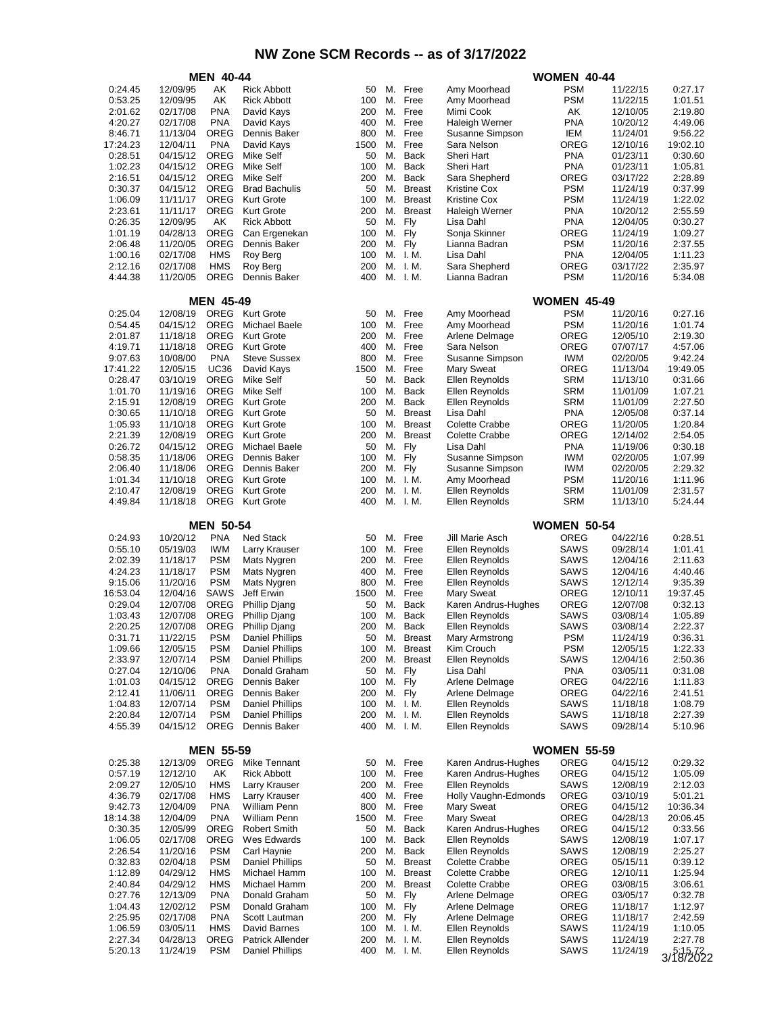|                     | <b>MEN 40-44</b>     |                            |                                           |            |          | <b>WOMEN 40-44</b>             |                                         |                            |                      |                      |
|---------------------|----------------------|----------------------------|-------------------------------------------|------------|----------|--------------------------------|-----------------------------------------|----------------------------|----------------------|----------------------|
| 0:24.45             | 12/09/95             | AΚ                         | <b>Rick Abbott</b>                        | 50         | М.       | Free                           | Amy Moorhead                            | PSM                        | 11/22/15             | 0:27.17              |
| 0:53.25             | 12/09/95             | AK                         | <b>Rick Abbott</b>                        | 100        | М.       | Free                           | Amy Moorhead                            | PSM                        | 11/22/15             | 1:01.51              |
| 2:01.62             | 02/17/08             | <b>PNA</b><br><b>PNA</b>   | David Kays                                | 200<br>400 | М.<br>М. | Free<br>Free                   | Mimi Cook                               | AΚ<br>PNA                  | 12/10/05             | 2:19.80<br>4:49.06   |
| 4:20.27<br>8:46.71  | 02/17/08<br>11/13/04 | <b>OREG</b>                | David Kays<br>Dennis Baker                | 800        | М.       | Free                           | Haleigh Werner<br>Susanne Simpson       | IEM                        | 10/20/12<br>11/24/01 | 9:56.22              |
| 17:24.23            | 12/04/11             | <b>PNA</b>                 | David Kays                                | 1500       | М.       | Free                           | Sara Nelson                             | OREG                       | 12/10/16             | 19:02.10             |
| 0:28.51             | 04/15/12             | <b>OREG</b>                | Mike Self                                 | 50         | М.       | <b>Back</b>                    | Sheri Hart                              | <b>PNA</b>                 | 01/23/11             | 0:30.60              |
| 1:02.23             | 04/15/12             | <b>OREG</b>                | Mike Self                                 | 100        | М.       | Back                           | Sheri Hart                              | <b>PNA</b>                 | 01/23/11             | 1:05.81              |
| 2:16.51             | 04/15/12             | <b>OREG</b>                | Mike Self                                 | 200        | М.       | Back                           | Sara Shepherd                           | OREG                       | 03/17/22             | 2:28.89              |
| 0:30.37<br>1:06.09  | 04/15/12<br>11/11/17 | <b>OREG</b><br><b>OREG</b> | <b>Brad Bachulis</b><br><b>Kurt Grote</b> | 50<br>100  | М.<br>М. | <b>Breast</b><br><b>Breast</b> | Kristine Cox<br><b>Kristine Cox</b>     | <b>PSM</b><br><b>PSM</b>   | 11/24/19<br>11/24/19 | 0:37.99<br>1:22.02   |
| 2:23.61             | 11/11/17             | <b>OREG</b>                | <b>Kurt Grote</b>                         | 200        | М.       | <b>Breast</b>                  | Haleigh Werner                          | <b>PNA</b>                 | 10/20/12             | 2:55.59              |
| 0:26.35             | 12/09/95             | AΚ                         | <b>Rick Abbott</b>                        | 50         | М.       | Fly                            | Lisa Dahl                               | <b>PNA</b>                 | 12/04/05             | 0:30.27              |
| 1:01.19             | 04/28/13             | OREG                       | Can Ergenekan                             | 100        | М.       | Fly                            | Sonja Skinner                           | OREG                       | 11/24/19             | 1:09.27              |
| 2:06.48             | 11/20/05             | <b>OREG</b>                | Dennis Baker                              | 200        | М.       | Fly                            | Lianna Badran                           | PSM                        | 11/20/16             | 2:37.55              |
| 1:00.16             | 02/17/08             | <b>HMS</b>                 | Roy Berg                                  | 100        | М.       | I. M.                          | Lisa Dahl                               | <b>PNA</b>                 | 12/04/05             | 1:11.23              |
| 2:12.16<br>4:44.38  | 02/17/08<br>11/20/05 | <b>HMS</b><br><b>OREG</b>  | Roy Berg<br>Dennis Baker                  | 200<br>400 | Μ.       | M. I.M.<br>I. M.               | Sara Shepherd<br>Lianna Badran          | OREG<br><b>PSM</b>         | 03/17/22<br>11/20/16 | 2:35.97<br>5:34.08   |
|                     |                      |                            |                                           |            |          |                                |                                         |                            |                      |                      |
|                     |                      | <b>MEN 45-49</b><br>OREG   |                                           |            |          |                                |                                         | <b>WOMEN 45-49</b>         |                      |                      |
| 0:25.04<br>0:54.45  | 12/08/19<br>04/15/12 | <b>OREG</b>                | <b>Kurt Grote</b><br><b>Michael Baele</b> | 50<br>100  | М.<br>М. | Free<br>Free                   | Amy Moorhead<br>Amy Moorhead            | <b>PSM</b><br><b>PSM</b>   | 11/20/16<br>11/20/16 | 0:27.16<br>1:01.74   |
| 2:01.87             | 11/18/18             | <b>OREG</b>                | <b>Kurt Grote</b>                         | 200        | М.       | Free                           | Arlene Delmage                          | OREG                       | 12/05/10             | 2:19.30              |
| 4:19.71             | 11/18/18             | <b>OREG</b>                | <b>Kurt Grote</b>                         | 400        | М.       | Free                           | Sara Nelson                             | OREG                       | 07/07/17             | 4:57.06              |
| 9:07.63             | 10/08/00             | <b>PNA</b>                 | <b>Steve Sussex</b>                       | 800        | М.       | Free                           | Susanne Simpson                         | <b>IWM</b>                 | 02/20/05             | 9:42.24              |
| 17:41.22            | 12/05/15             | <b>UC36</b>                | David Kays                                | 1500       | М.       | Free                           | <b>Mary Sweat</b>                       | OREG                       | 11/13/04             | 19:49.05             |
| 0:28.47             | 03/10/19             | <b>OREG</b>                | Mike Self                                 | 50         | М.       | Back                           | Ellen Reynolds                          | SRM                        | 11/13/10             | 0:31.66              |
| 1:01.70<br>2:15.91  | 11/19/16<br>12/08/19 | <b>OREG</b><br>OREG        | Mike Self<br><b>Kurt Grote</b>            | 100<br>200 | М.<br>М. | Back<br>Back                   | Ellen Reynolds<br>Ellen Reynolds        | SRM<br><b>SRM</b>          | 11/01/09<br>11/01/09 | 1:07.21<br>2:27.50   |
| 0:30.65             | 11/10/18             | <b>OREG</b>                | <b>Kurt Grote</b>                         | 50         | М.       | <b>Breast</b>                  | Lisa Dahl                               | <b>PNA</b>                 | 12/05/08             | 0:37.14              |
| 1:05.93             | 11/10/18             | <b>OREG</b>                | <b>Kurt Grote</b>                         | 100        | М.       | <b>Breast</b>                  | <b>Colette Crabbe</b>                   | OREG                       | 11/20/05             | 1:20.84              |
| 2:21.39             | 12/08/19             | <b>OREG</b>                | <b>Kurt Grote</b>                         | 200        | М.       | <b>Breast</b>                  | Colette Crabbe                          | OREG                       | 12/14/02             | 2:54.05              |
| 0:26.72             | 04/15/12             | <b>OREG</b>                | <b>Michael Baele</b>                      | 50         | М.       | Fly                            | Lisa Dahl                               | <b>PNA</b>                 | 11/19/06             | 0:30.18              |
| 0:58.35             | 11/18/06             | <b>OREG</b><br><b>OREG</b> | Dennis Baker                              | 100        | М.<br>М. | Fly                            | Susanne Simpson                         | <b>IWM</b>                 | 02/20/05             | 1:07.99<br>2:29.32   |
| 2:06.40<br>1:01.34  | 11/18/06<br>11/10/18 | OREG                       | Dennis Baker<br><b>Kurt Grote</b>         | 200<br>100 | М.       | Fly<br>I. M.                   | Susanne Simpson<br>Amy Moorhead         | <b>IWM</b><br><b>PSM</b>   | 02/20/05<br>11/20/16 | 1:11.96              |
| 2:10.47             | 12/08/19             | OREG                       | <b>Kurt Grote</b>                         | 200        | М.       | I. M.                          | Ellen Reynolds                          | <b>SRM</b>                 | 11/01/09             | 2:31.57              |
| 4:49.84             | 11/18/18             | OREG                       | <b>Kurt Grote</b>                         | 400        |          | M. I.M.                        | Ellen Reynolds                          | <b>SRM</b>                 | 11/13/10             | 5:24.44              |
|                     |                      | <b>MEN 50-54</b>           |                                           |            |          |                                |                                         | <b>WOMEN 50-54</b>         |                      |                      |
| 0:24.93             | 10/20/12             | <b>PNA</b>                 | <b>Ned Stack</b>                          | 50         | М.       | Free                           | Jill Marie Asch                         | OREG                       | 04/22/16             | 0:28.51              |
| 0:55.10             | 05/19/03             | <b>IWM</b>                 | Larry Krauser                             | 100        | М.       | Free                           | Ellen Reynolds                          | SAWS                       | 09/28/14             | 1:01.41              |
| 2:02.39             | 11/18/17             | <b>PSM</b><br><b>PSM</b>   | Mats Nygren                               | 200        | М.       | Free                           | Ellen Reynolds                          | <b>SAWS</b>                | 12/04/16             | 2:11.63              |
| 4:24.23<br>9:15.06  | 11/18/17<br>11/20/16 | <b>PSM</b>                 | Mats Nygren<br>Mats Nygren                | 400<br>800 | М.<br>М. | Free<br>Free                   | Ellen Reynolds<br>Ellen Reynolds        | SAWS<br>SAWS               | 12/04/16<br>12/12/14 | 4:40.46<br>9:35.39   |
| 16:53.04            | 12/04/16             | SAWS                       | Jeff Erwin                                | 1500       | М.       | Free                           | <b>Mary Sweat</b>                       | OREG                       | 12/10/11             | 19:37.45             |
| 0:29.04             | 12/07/08             |                            | <b>Phillip Djang</b>                      | 50         | М.       | Back                           | Karen Andrus-Hughes                     | OREG                       | 12/07/08             | 0:32.13              |
|                     |                      | OREG                       |                                           |            |          | Back                           |                                         |                            |                      |                      |
| 1:03.43             | 12/07/08             | OREG                       | <b>Phillip Djang</b>                      | 100        | М.       |                                | Ellen Reynolds                          | SAWS                       | 03/08/14             | 1:05.89              |
| 2:20.25             | 12/07/08             | <b>OREG</b>                | <b>Phillip Djang</b>                      | 200        |          | M. Back                        | Ellen Reynolds                          | SAWS                       | 03/08/14             | 2:22.37              |
| 0:31.71             | 11/22/15             | <b>PSM</b>                 | <b>Daniel Phillips</b>                    | 50         | M.       | <b>Breast</b>                  | Mary Armstrong                          | <b>PSM</b>                 | 11/24/19             | 0:36.31              |
| 1:09.66             | 12/05/15             | <b>PSM</b>                 | <b>Daniel Phillips</b>                    | 100        |          | M. Breast                      | Kim Crouch                              | <b>PSM</b>                 | 12/05/15             | 1:22.33              |
| 2:33.97<br>0:27.04  | 12/07/14<br>12/10/06 | <b>PSM</b><br><b>PNA</b>   | Daniel Phillips<br>Donald Graham          | 200<br>50  | М.<br>М. | <b>Breast</b><br>Fly           | Ellen Reynolds<br>Lisa Dahl             | SAWS<br><b>PNA</b>         | 12/04/16<br>03/05/11 | 2:50.36<br>0:31.08   |
| 1:01.03             | 04/15/12             | OREG                       | Dennis Baker                              | 100        | М.       | Fly                            | Arlene Delmage                          | OREG                       | 04/22/16             | 1:11.83              |
| 2:12.41             | 11/06/11             | OREG                       | Dennis Baker                              | 200        | М.       | Fly                            | Arlene Delmage                          | OREG                       | 04/22/16             | 2:41.51              |
| 1:04.83             | 12/07/14             | <b>PSM</b>                 | <b>Daniel Phillips</b>                    | 100        |          | M. I.M.                        | Ellen Reynolds                          | SAWS                       | 11/18/18             | 1:08.79              |
| 2:20.84<br>4:55.39  | 12/07/14<br>04/15/12 | <b>PSM</b><br>OREG         | <b>Daniel Phillips</b><br>Dennis Baker    | 200<br>400 | М.       | I. M.<br>M. I.M.               | Ellen Reynolds<br>Ellen Reynolds        | SAWS<br>SAWS               | 11/18/18<br>09/28/14 | 2:27.39<br>5:10.96   |
|                     |                      |                            |                                           |            |          |                                |                                         |                            |                      |                      |
| 0:25.38             | 12/13/09             | <b>MEN 55-59</b><br>OREG   | Mike Tennant                              | 50         | М.       | Free                           | Karen Andrus-Hughes                     | <b>WOMEN 55-59</b><br>OREG | 04/15/12             | 0:29.32              |
| 0:57.19             | 12/12/10             | АK                         | <b>Rick Abbott</b>                        | 100        | М.       | Free                           | Karen Andrus-Hughes                     | OREG                       | 04/15/12             | 1:05.09              |
| 2:09.27             | 12/05/10             | <b>HMS</b>                 | Larry Krauser                             | 200        | М.       | Free                           | Ellen Reynolds                          | SAWS                       | 12/08/19             | 2:12.03              |
| 4:36.79             | 02/17/08             | HMS                        | Larry Krauser                             | 400        | М.       | Free                           | Holly Vaughn-Edmonds                    | OREG                       | 03/10/19             | 5:01.21              |
| 9:42.73             | 12/04/09             | <b>PNA</b>                 | William Penn                              | 800        | М.       | Free                           | Mary Sweat                              | OREG                       | 04/15/12             | 10:36.34             |
| 18:14.38<br>0:30.35 | 12/04/09<br>12/05/99 | <b>PNA</b><br><b>OREG</b>  | William Penn<br><b>Robert Smith</b>       | 1500<br>50 | М.<br>М. | Free<br>Back                   | Mary Sweat<br>Karen Andrus-Hughes       | OREG<br>OREG               | 04/28/13<br>04/15/12 | 20:06.45<br>0:33.56  |
| 1:06.05             | 02/17/08             | OREG                       | Wes Edwards                               | 100        | М.       | Back                           | Ellen Reynolds                          | SAWS                       | 12/08/19             | 1:07.17              |
| 2:26.54             | 11/20/16             | <b>PSM</b>                 | Carl Haynie                               | 200        | М.       | Back                           | Ellen Reynolds                          | SAWS                       | 12/08/19             | 2:25.27              |
| 0:32.83             | 02/04/18             | <b>PSM</b>                 | <b>Daniel Phillips</b>                    | 50         | М.       | <b>Breast</b>                  | <b>Colette Crabbe</b>                   | OREG                       | 05/15/11             | 0:39.12              |
| 1:12.89             | 04/29/12             | <b>HMS</b>                 | Michael Hamm                              | 100        | М.       | <b>Breast</b>                  | Colette Crabbe                          | OREG                       | 12/10/11             | 1:25.94              |
| 2:40.84<br>0:27.76  | 04/29/12<br>12/13/09 | <b>HMS</b><br><b>PNA</b>   | Michael Hamm<br>Donald Graham             | 200<br>50  | М.<br>М. | <b>Breast</b><br>Fly           | <b>Colette Crabbe</b><br>Arlene Delmage | OREG<br>OREG               | 03/08/15<br>03/05/17 | 3:06.61<br>0:32.78   |
| 1:04.43             | 12/02/12             | <b>PSM</b>                 | Donald Graham                             | 100        | М.       | Fly                            | Arlene Delmage                          | OREG                       | 11/18/17             | 1:12.97              |
| 2:25.95             | 02/17/08             | <b>PNA</b>                 | Scott Lautman                             | 200        | М.       | Fly                            | Arlene Delmage                          | OREG                       | 11/18/17             | 2:42.59              |
| 1:06.59             | 03/05/11             | HMS                        | David Barnes                              | 100        |          | M. I.M.                        | Ellen Reynolds                          | SAWS                       | 11/24/19             | 1:10.05              |
| 2:27.34<br>5:20.13  | 04/28/13<br>11/24/19 | OREG<br><b>PSM</b>         | Patrick Allender<br>Daniel Phillips       | 200<br>400 | М.       | I. M.<br>M. I.M.               | Ellen Reynolds<br>Ellen Reynolds        | SAWS<br>SAWS               | 11/24/19<br>11/24/19 | 2:27.78<br>3/18/2022 |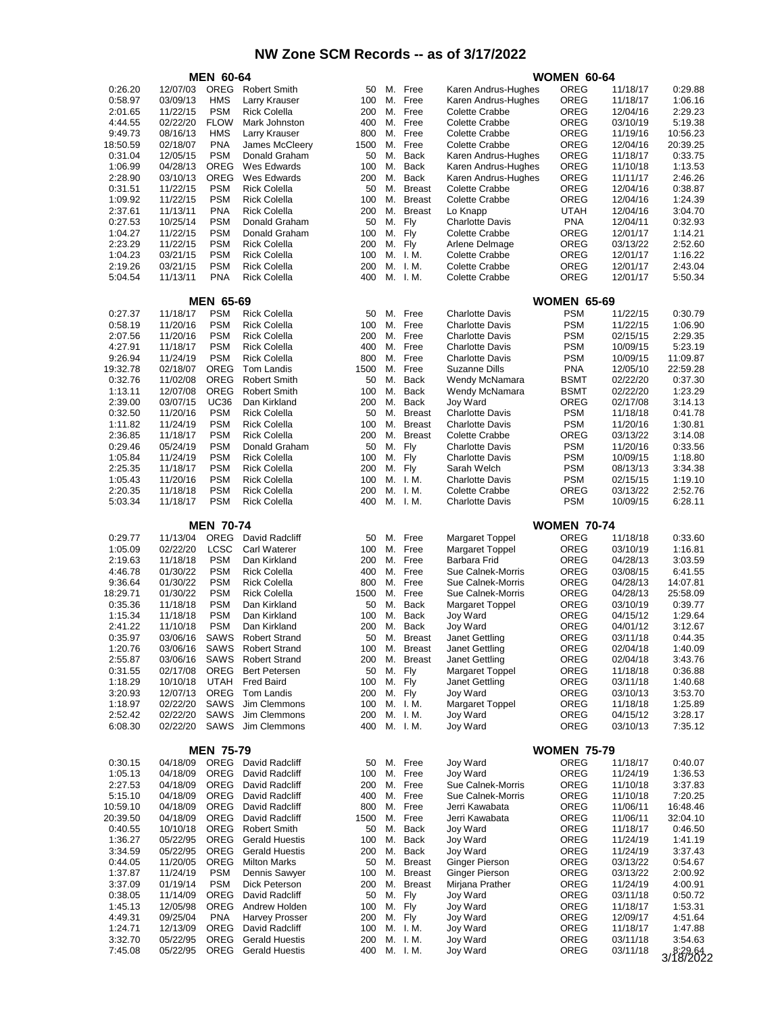|                     | <b>MEN 60-64</b>     |                            |                                            |             | <b>WOMEN 60-64</b> |               |                                             |                           |                      |                      |
|---------------------|----------------------|----------------------------|--------------------------------------------|-------------|--------------------|---------------|---------------------------------------------|---------------------------|----------------------|----------------------|
| 0:26.20             | 12/07/03             | OREG                       | <b>Robert Smith</b>                        | 50          | М.                 | Free          | Karen Andrus-Hughes                         | OREG                      | 11/18/17             | 0:29.88              |
| 0:58.97             | 03/09/13             | <b>HMS</b>                 | Larry Krauser                              | 100         | М.                 | Free          | Karen Andrus-Hughes                         | OREG                      | 11/18/17             | 1:06.16              |
| 2:01.65             | 11/22/15             | <b>PSM</b>                 | <b>Rick Colella</b>                        | 200         | М.                 | Free          | <b>Colette Crabbe</b>                       | OREG                      | 12/04/16             | 2:29.23              |
| 4:44.55             | 02/22/20             | <b>FLOW</b><br><b>HMS</b>  | Mark Johnston<br>Larry Krauser             | 400         | М.<br>М.           | Free<br>Free  | <b>Colette Crabbe</b>                       | OREG                      | 03/10/19             | 5:19.38              |
| 9:49.73<br>18:50.59 | 08/16/13<br>02/18/07 | <b>PNA</b>                 | James McCleery                             | 800<br>1500 | М.                 | Free          | Colette Crabbe<br>Colette Crabbe            | OREG<br>OREG              | 11/19/16<br>12/04/16 | 10:56.23<br>20:39.25 |
| 0:31.04             | 12/05/15             | <b>PSM</b>                 | Donald Graham                              | 50          | М.                 | Back          | Karen Andrus-Hughes                         | OREG                      | 11/18/17             | 0:33.75              |
| 1:06.99             | 04/28/13             | <b>OREG</b>                | Wes Edwards                                | 100         | М.                 | <b>Back</b>   | Karen Andrus-Hughes                         | OREG                      | 11/10/18             | 1:13.53              |
| 2:28.90             | 03/10/13             | <b>OREG</b>                | Wes Edwards                                | 200         | М.                 | Back          | Karen Andrus-Hughes                         | OREG                      | 11/11/17             | 2:46.26              |
| 0:31.51             | 11/22/15             | <b>PSM</b>                 | <b>Rick Colella</b>                        | 50          | М.                 | <b>Breast</b> | Colette Crabbe                              | OREG                      | 12/04/16             | 0:38.87              |
| 1:09.92             | 11/22/15             | <b>PSM</b>                 | <b>Rick Colella</b>                        | 100         | М.                 | <b>Breast</b> | Colette Crabbe                              | OREG                      | 12/04/16             | 1:24.39              |
| 2:37.61             | 11/13/11             | <b>PNA</b>                 | <b>Rick Colella</b>                        | 200         | М.                 | <b>Breast</b> | Lo Knapp                                    | <b>UTAH</b>               | 12/04/16             | 3:04.70              |
| 0:27.53<br>1:04.27  | 10/25/14<br>11/22/15 | <b>PSM</b><br><b>PSM</b>   | Donald Graham<br>Donald Graham             | 50<br>100   | М.<br>М.           | Fly<br>Fly    | <b>Charlotte Davis</b><br>Colette Crabbe    | <b>PNA</b><br>OREG        | 12/04/11<br>12/01/17 | 0:32.93<br>1:14.21   |
| 2:23.29             | 11/22/15             | <b>PSM</b>                 | <b>Rick Colella</b>                        | 200         | М.                 | Fly           | Arlene Delmage                              | OREG                      | 03/13/22             | 2:52.60              |
| 1:04.23             | 03/21/15             | <b>PSM</b>                 | <b>Rick Colella</b>                        | 100         | М.                 | I. M.         | <b>Colette Crabbe</b>                       | OREG                      | 12/01/17             | 1:16.22              |
| 2:19.26             | 03/21/15             | <b>PSM</b>                 | <b>Rick Colella</b>                        | 200         | М.                 | I. M.         | Colette Crabbe                              | OREG                      | 12/01/17             | 2:43.04              |
| 5:04.54             | 11/13/11             | <b>PNA</b>                 | <b>Rick Colella</b>                        | 400         |                    | M. I.M.       | Colette Crabbe                              | OREG                      | 12/01/17             | 5:50.34              |
|                     |                      | <b>MEN 65-69</b>           |                                            |             |                    |               |                                             | <b>WOMEN 65-69</b>        |                      |                      |
| 0:27.37             | 11/18/17             | <b>PSM</b>                 | <b>Rick Colella</b>                        | 50          | М.                 | Free          | <b>Charlotte Davis</b>                      | <b>PSM</b>                | 11/22/15             | 0:30.79              |
| 0:58.19             | 11/20/16             | <b>PSM</b>                 | <b>Rick Colella</b>                        | 100         | М.                 | Free          | <b>Charlotte Davis</b>                      | PSM                       | 11/22/15             | 1:06.90              |
| 2:07.56             | 11/20/16             | <b>PSM</b>                 | <b>Rick Colella</b>                        | 200         | М.                 | Free          | <b>Charlotte Davis</b>                      | <b>PSM</b>                | 02/15/15             | 2:29.35              |
| 4:27.91             | 11/18/17             | <b>PSM</b>                 | <b>Rick Colella</b>                        | 400         | М.                 | Free          | <b>Charlotte Davis</b>                      | <b>PSM</b>                | 10/09/15             | 5:23.19              |
| 9:26.94             | 11/24/19             | <b>PSM</b>                 | <b>Rick Colella</b>                        | 800         | М.                 | Free          | <b>Charlotte Davis</b>                      | <b>PSM</b>                | 10/09/15             | 11:09.87             |
| 19:32.78<br>0:32.76 | 02/18/07<br>11/02/08 | <b>OREG</b><br><b>OREG</b> | Tom Landis<br><b>Robert Smith</b>          | 1500<br>50  | М.<br>М.           | Free<br>Back  | Suzanne Dills<br>Wendy McNamara             | <b>PNA</b><br><b>BSMT</b> | 12/05/10<br>02/22/20 | 22:59.28<br>0:37.30  |
| 1:13.11             | 12/07/08             | <b>OREG</b>                | <b>Robert Smith</b>                        | 100         | М.                 | Back          | Wendy McNamara                              | <b>BSMT</b>               | 02/22/20             | 1:23.29              |
| 2:39.00             | 03/07/15             | <b>UC36</b>                | Dan Kirkland                               | 200         | М.                 | Back          | <b>Joy Ward</b>                             | OREG                      | 02/17/08             | 3:14.13              |
| 0:32.50             | 11/20/16             | <b>PSM</b>                 | <b>Rick Colella</b>                        | 50          | М.                 | <b>Breast</b> | <b>Charlotte Davis</b>                      | <b>PSM</b>                | 11/18/18             | 0:41.78              |
| 1:11.82             | 11/24/19             | <b>PSM</b>                 | <b>Rick Colella</b>                        | 100         | М.                 | <b>Breast</b> | <b>Charlotte Davis</b>                      | <b>PSM</b>                | 11/20/16             | 1:30.81              |
| 2:36.85             | 11/18/17             | <b>PSM</b>                 | <b>Rick Colella</b>                        | 200         | М.                 | <b>Breast</b> | <b>Colette Crabbe</b>                       | OREG                      | 03/13/22             | 3:14.08              |
| 0:29.46             | 05/24/19             | <b>PSM</b>                 | Donald Graham                              | 50          | М.                 | Fly           | Charlotte Davis                             | <b>PSM</b>                | 11/20/16             | 0:33.56              |
| 1:05.84<br>2:25.35  | 11/24/19<br>11/18/17 | <b>PSM</b><br><b>PSM</b>   | <b>Rick Colella</b><br><b>Rick Colella</b> | 100<br>200  | М.<br>М.           | Fly<br>Fly    | Charlotte Davis<br>Sarah Welch              | <b>PSM</b><br><b>PSM</b>  | 10/09/15<br>08/13/13 | 1:18.80<br>3:34.38   |
| 1:05.43             | 11/20/16             | <b>PSM</b>                 | <b>Rick Colella</b>                        | 100         | М.                 | I. M.         | <b>Charlotte Davis</b>                      | <b>PSM</b>                | 02/15/15             | 1:19.10              |
| 2:20.35             | 11/18/18             | <b>PSM</b>                 | <b>Rick Colella</b>                        | 200         | М.                 | I. M.         | Colette Crabbe                              | OREG                      | 03/13/22             | 2:52.76              |
| 5:03.34             | 11/18/17             | <b>PSM</b>                 | <b>Rick Colella</b>                        | 400         |                    | M. I.M.       | Charlotte Davis                             | <b>PSM</b>                | 10/09/15             | 6:28.11              |
|                     |                      | <b>MEN 70-74</b>           |                                            |             |                    |               |                                             | <b>WOMEN 70-74</b>        |                      |                      |
| 0:29.77             | 11/13/04             | <b>OREG</b>                | David Radcliff                             | 50          | М.                 | Free          | Margaret Toppel                             | OREG                      | 11/18/18             | 0:33.60              |
| 1:05.09             | 02/22/20             | <b>LCSC</b>                | <b>Carl Waterer</b>                        | 100         | М.                 | Free          | <b>Margaret Toppel</b>                      | OREG                      | 03/10/19             | 1:16.81              |
| 2:19.63             | 11/18/18             | <b>PSM</b>                 | Dan Kirkland                               | 200         | М.                 | Free          | Barbara Frid                                | OREG                      | 04/28/13             | 3:03.59              |
| 4:46.78             | 01/30/22             | <b>PSM</b>                 | <b>Rick Colella</b>                        | 400         | М.                 | Free          | Sue Calnek-Morris                           | OREG                      | 03/08/15             | 6:41.55              |
| 9:36.64<br>18:29.71 | 01/30/22             | <b>PSM</b><br><b>PSM</b>   | <b>Rick Colella</b><br><b>Rick Colella</b> | 800<br>1500 | М.<br>М.           | Free<br>Free  | Sue Calnek-Morris                           | OREG                      | 04/28/13             | 14:07.81             |
| 0:35.36             | 01/30/22<br>11/18/18 | <b>PSM</b>                 | Dan Kirkland                               | 50          | М.                 | Back          | Sue Calnek-Morris<br><b>Margaret Toppel</b> | OREG<br>OREG              | 04/28/13<br>03/10/19 | 25:58.09<br>0:39.77  |
| 1:15.34             | 11/18/18             | <b>PSM</b>                 | Dan Kirkland                               | 100         | М.                 | <b>Back</b>   | Joy Ward                                    | OREG                      | 04/15/12             | 1:29.64              |
| 2:41.22             | 11/10/18             | <b>PSM</b>                 | Dan Kirkland                               | 200         |                    | M. Back       | Joy Ward                                    | OREG                      | 04/01/12             | 3:12.67              |
| 0:35.97             | 03/06/16             | SAWS                       | <b>Robert Strand</b>                       | 50          | M.                 | <b>Breast</b> | Janet Gettling                              | OREG                      | 03/11/18             | 0:44.35              |
| 1:20.76             | 03/06/16             | SAWS                       | <b>Robert Strand</b>                       | 100         |                    | M. Breast     | Janet Gettling                              | OREG                      | 02/04/18             | 1:40.09              |
| 2:55.87             | 03/06/16             | SAWS                       | <b>Robert Strand</b>                       | 200         | М.                 | Breast        | Janet Gettling                              | OREG                      | 02/04/18             | 3:43.76              |
| 0:31.55<br>1:18.29  | 02/17/08<br>10/10/18 | OREG<br><b>UTAH</b>        | <b>Bert Petersen</b><br><b>Fred Baird</b>  | 50<br>100   | М.<br>М.           | Fly<br>Fly    | Margaret Toppel<br>Janet Gettling           | OREG<br>OREG              | 11/18/18<br>03/11/18 | 0:36.88<br>1:40.68   |
| 3:20.93             | 12/07/13             | OREG                       | Tom Landis                                 | 200         | М.                 | Fly           | Joy Ward                                    | OREG                      | 03/10/13             | 3:53.70              |
| 1:18.97             | 02/22/20             | SAWS                       | Jim Clemmons                               | 100         |                    | M. I.M.       | <b>Margaret Toppel</b>                      | OREG                      | 11/18/18             | 1:25.89              |
| 2:52.42             | 02/22/20             | SAWS                       | Jim Clemmons                               | 200         |                    | M. I.M.       | Joy Ward                                    | OREG                      | 04/15/12             | 3:28.17              |
| 6:08.30             | 02/22/20             | SAWS                       | Jim Clemmons                               | 400         |                    | M. I.M.       | Joy Ward                                    | OREG                      | 03/10/13             | 7:35.12              |
|                     |                      | <b>MEN 75-79</b>           |                                            |             |                    |               |                                             | <b>WOMEN 75-79</b>        |                      |                      |
| 0:30.15             | 04/18/09             | OREG                       | David Radcliff                             | 50          | М.                 | Free          | Joy Ward                                    | OREG                      | 11/18/17             | 0:40.07              |
| 1:05.13             | 04/18/09             | OREG                       | David Radcliff                             | 100         | М.                 | Free          | Joy Ward                                    | OREG                      | 11/24/19             | 1:36.53              |
| 2:27.53             | 04/18/09             | OREG                       | David Radcliff                             | 200         | М.                 | Free          | Sue Calnek-Morris                           | OREG                      | 11/10/18             | 3:37.83              |
| 5:15.10             | 04/18/09             | OREG                       | David Radcliff                             | 400         | М.                 | Free          | Sue Calnek-Morris                           | OREG                      | 11/10/18             | 7:20.25              |
| 10:59.10            | 04/18/09             | OREG                       | David Radcliff                             | 800         | М.                 | Free          | Jerri Kawabata                              | OREG                      | 11/06/11             | 16:48.46             |
| 20:39.50<br>0:40.55 | 04/18/09<br>10/10/18 | OREG<br>OREG               | David Radcliff<br><b>Robert Smith</b>      | 1500<br>50  | М.<br>М.           | Free<br>Back  | Jerri Kawabata<br>Joy Ward                  | OREG<br>OREG              | 11/06/11<br>11/18/17 | 32:04.10<br>0:46.50  |
| 1:36.27             | 05/22/95             | OREG                       | <b>Gerald Huestis</b>                      | 100         | М.                 | Back          | Joy Ward                                    | OREG                      | 11/24/19             | 1:41.19              |
| 3:34.59             | 05/22/95             | OREG                       | <b>Gerald Huestis</b>                      | 200         | М.                 | Back          | Joy Ward                                    | OREG                      | 11/24/19             | 3:37.43              |
| 0:44.05             | 11/20/05             | OREG                       | <b>Milton Marks</b>                        | 50          | М.                 | <b>Breast</b> | Ginger Pierson                              | OREG                      | 03/13/22             | 0:54.67              |
| 1:37.87             | 11/24/19             | <b>PSM</b>                 | Dennis Sawyer                              | 100         | М.                 | <b>Breast</b> | Ginger Pierson                              | OREG                      | 03/13/22             | 2:00.92              |
| 3:37.09             | 01/19/14             | <b>PSM</b>                 | Dick Peterson                              | 200         | М.                 | <b>Breast</b> | Mirjana Prather                             | OREG                      | 11/24/19             | 4:00.91              |
| 0:38.05             | 11/14/09             | OREG                       | David Radcliff                             | 50          | М.                 | Fly           | Joy Ward                                    | OREG                      | 03/11/18             | 0:50.72              |
| 1:45.13<br>4:49.31  | 12/05/98<br>09/25/04 | OREG<br><b>PNA</b>         | Andrew Holden<br><b>Harvey Prosser</b>     | 100<br>200  | М.<br>М.           | Fly<br>Fly    | Joy Ward<br>Joy Ward                        | OREG<br>OREG              | 11/18/17<br>12/09/17 | 1:53.31<br>4:51.64   |
| 1:24.71             | 12/13/09             | OREG                       | David Radcliff                             | 100         |                    | M. I.M.       | Joy Ward                                    | OREG                      | 11/18/17             | 1:47.88              |
| 3:32.70             | 05/22/95             | OREG                       | <b>Gerald Huestis</b>                      | 200         |                    | M. I.M.       | Joy Ward                                    | OREG                      | 03/11/18             | 3:54.63              |
| 7:45.08             | 05/22/95             | OREG                       | <b>Gerald Huestis</b>                      | 400         |                    | M. I.M.       | Joy Ward                                    | OREG                      | 03/11/18             | 3/18/2022            |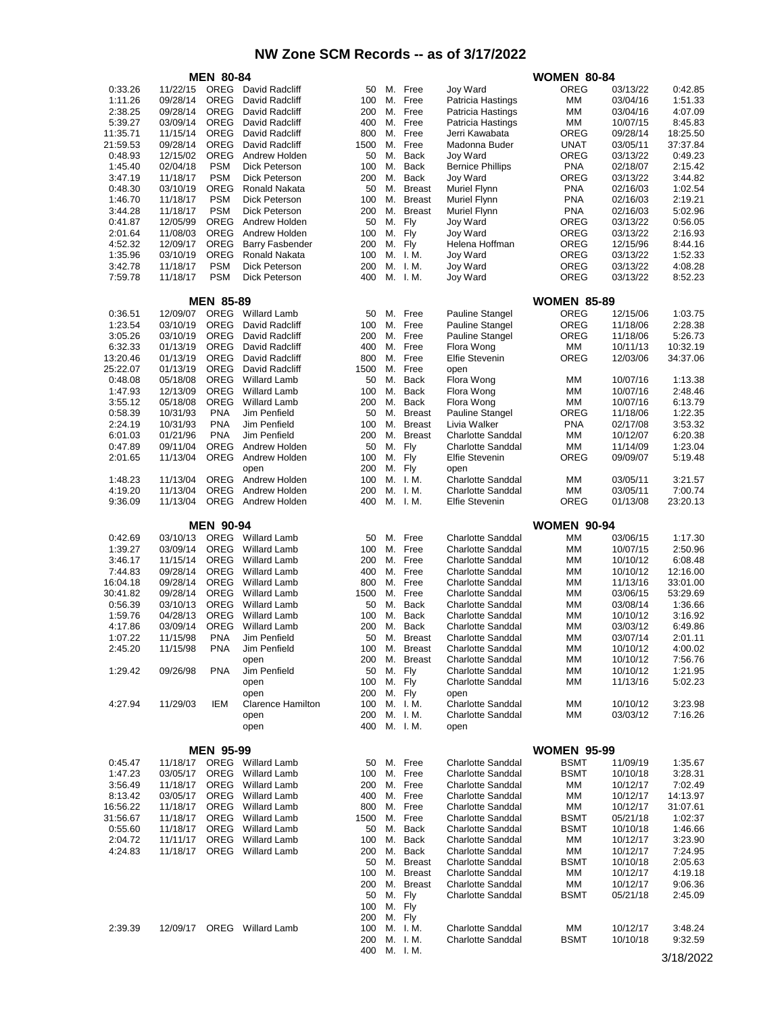|                     |                      | <b>MEN 80-84</b>           |                                            |            |          |                                |                                                      | <b>WOMEN 80-84</b>         |                      |                      |
|---------------------|----------------------|----------------------------|--------------------------------------------|------------|----------|--------------------------------|------------------------------------------------------|----------------------------|----------------------|----------------------|
| 0:33.26             | 11/22/15             | OREG                       | David Radcliff                             | 50         | М.       | Free                           | Joy Ward                                             | <b>OREG</b>                | 03/13/22             | 0:42.85              |
| 1:11.26             | 09/28/14             | <b>OREG</b>                | David Radcliff                             | 100        | М.       | Free                           | Patricia Hastings                                    | MМ                         | 03/04/16             | 1:51.33              |
| 2:38.25             | 09/28/14             | <b>OREG</b>                | David Radcliff                             | 200        | М.       | Free                           | Patricia Hastings                                    | MМ                         | 03/04/16             | 4:07.09              |
| 5:39.27             | 03/09/14             | <b>OREG</b>                | David Radcliff                             | 400        | М.       | Free                           | Patricia Hastings                                    | MМ                         | 10/07/15             | 8:45.83              |
| 11:35.71            | 11/15/14             | <b>OREG</b>                | David Radcliff                             | 800        | М.       | Free                           | Jerri Kawabata                                       | OREG                       | 09/28/14             | 18:25.50             |
| 21:59.53            | 09/28/14             | OREG                       | David Radcliff                             | 1500       | М.       | Free                           | Madonna Buder                                        | UNAT                       | 03/05/11             | 37:37.84             |
| 0:48.93             | 12/15/02             | OREG                       | Andrew Holden                              | 50         | М.       | <b>Back</b>                    | <b>Joy Ward</b>                                      | OREG                       | 03/13/22             | 0:49.23              |
| 1:45.40             | 02/04/18             | <b>PSM</b>                 | Dick Peterson                              | 100        | М.       | <b>Back</b>                    | <b>Bernice Phillips</b>                              | <b>PNA</b>                 | 02/18/07             | 2:15.42              |
| 3:47.19             | 11/18/17             | <b>PSM</b>                 | Dick Peterson                              | 200        | М.       | <b>Back</b>                    | Joy Ward                                             | OREG                       | 03/13/22             | 3:44.82              |
| 0:48.30<br>1:46.70  | 03/10/19<br>11/18/17 | <b>OREG</b><br><b>PSM</b>  | Ronald Nakata<br>Dick Peterson             | 50<br>100  | М.<br>М. | <b>Breast</b><br><b>Breast</b> | Muriel Flynn<br>Muriel Flynn                         | PNA<br>PNA                 | 02/16/03<br>02/16/03 | 1:02.54<br>2:19.21   |
| 3:44.28             | 11/18/17             | <b>PSM</b>                 | Dick Peterson                              | 200        | М.       | <b>Breast</b>                  | Muriel Flynn                                         | <b>PNA</b>                 | 02/16/03             | 5:02.96              |
| 0:41.87             | 12/05/99             | OREG                       | Andrew Holden                              | 50         | М.       | Fly                            | Joy Ward                                             | OREG                       | 03/13/22             | 0:56.05              |
| 2:01.64             | 11/08/03             | <b>OREG</b>                | Andrew Holden                              | 100        | М.       | Fly                            | <b>Joy Ward</b>                                      | OREG                       | 03/13/22             | 2:16.93              |
| 4:52.32             | 12/09/17             | <b>OREG</b>                | <b>Barry Fasbender</b>                     | 200        |          | M. Fly                         | Helena Hoffman                                       | OREG                       | 12/15/96             | 8:44.16              |
| 1:35.96             | 03/10/19             | <b>OREG</b>                | Ronald Nakata                              | 100        | М.       | I. M.                          | Joy Ward                                             | OREG                       | 03/13/22             | 1:52.33              |
| 3:42.78             | 11/18/17             | <b>PSM</b>                 | Dick Peterson                              | 200        | М.       | I. M.                          | Joy Ward                                             | OREG                       | 03/13/22             | 4:08.28              |
| 7:59.78             | 11/18/17             | <b>PSM</b>                 | Dick Peterson                              | 400        | М.       | I. M.                          | Joy Ward                                             | OREG                       | 03/13/22             | 8:52.23              |
|                     |                      |                            |                                            |            |          |                                |                                                      |                            |                      |                      |
|                     |                      | <b>MEN 85-89</b>           |                                            |            |          |                                |                                                      | <b>WOMEN 85-89</b>         |                      |                      |
| 0:36.51             | 12/09/07             | <b>OREG</b>                | <b>Willard Lamb</b>                        | 50         |          | M. Free                        | <b>Pauline Stangel</b>                               | OREG                       | 12/15/06             | 1:03.75              |
| 1:23.54             | 03/10/19             | <b>OREG</b>                | David Radcliff                             | 100        | М.       | Free                           | <b>Pauline Stangel</b>                               | OREG                       | 11/18/06             | 2:28.38              |
| 3:05.26<br>6:32.33  | 03/10/19             | <b>OREG</b><br><b>OREG</b> | David Radcliff                             | 200<br>400 | М.       | Free<br>Free                   | <b>Pauline Stangel</b>                               | OREG                       | 11/18/06             | 5:26.73              |
| 13:20.46            | 01/13/19<br>01/13/19 | <b>OREG</b>                | David Radcliff<br>David Radcliff           | 800        | М.<br>М. | Free                           | Flora Wong<br><b>Elfie Stevenin</b>                  | ΜМ<br>OREG                 | 10/11/13<br>12/03/06 | 10:32.19<br>34:37.06 |
| 25:22.07            | 01/13/19             | <b>OREG</b>                | David Radcliff                             | 1500       | М.       | Free                           | open                                                 |                            |                      |                      |
| 0:48.08             | 05/18/08             | <b>OREG</b>                | <b>Willard Lamb</b>                        | 50         | М.       | <b>Back</b>                    | Flora Wong                                           | MМ                         | 10/07/16             | 1:13.38              |
| 1:47.93             | 12/13/09             | OREG                       | <b>Willard Lamb</b>                        | 100        | М.       | <b>Back</b>                    | Flora Wong                                           | MМ                         | 10/07/16             | 2:48.46              |
| 3:55.12             | 05/18/08             | <b>OREG</b>                | <b>Willard Lamb</b>                        | 200        | М.       | <b>Back</b>                    | Flora Wong                                           | MМ                         | 10/07/16             | 6:13.79              |
| 0:58.39             | 10/31/93             | <b>PNA</b>                 | Jim Penfield                               | 50         | М.       | <b>Breast</b>                  | Pauline Stangel                                      | OREG                       | 11/18/06             | 1:22.35              |
| 2:24.19             | 10/31/93             | <b>PNA</b>                 | Jim Penfield                               | 100        | М.       | <b>Breast</b>                  | Livia Walker                                         | PNA                        | 02/17/08             | 3:53.32              |
| 6:01.03             | 01/21/96             | <b>PNA</b>                 | Jim Penfield                               | 200        | М.       | <b>Breast</b>                  | <b>Charlotte Sanddal</b>                             | ΜМ                         | 10/12/07             | 6:20.38              |
| 0:47.89             | 09/11/04             | OREG                       | Andrew Holden                              | 50         | М.       | Fly                            | <b>Charlotte Sanddal</b>                             | ΜМ                         | 11/14/09             | 1:23.04              |
| 2:01.65             | 11/13/04             | OREG                       | Andrew Holden                              | 100        | М.       | Fly                            | <b>Elfie Stevenin</b>                                | OREG                       | 09/09/07             | 5:19.48              |
|                     |                      |                            | open                                       | 200        | М.       | Fly                            | open                                                 |                            |                      |                      |
| 1:48.23             | 11/13/04             | <b>OREG</b>                | Andrew Holden                              | 100        | М.       | I. M.                          | <b>Charlotte Sanddal</b>                             | MМ                         | 03/05/11             | 3:21.57              |
| 4:19.20             | 11/13/04             | <b>OREG</b>                | Andrew Holden                              | 200        | М.       | I. M.                          | <b>Charlotte Sanddal</b>                             | ΜМ                         | 03/05/11             | 7:00.74              |
| 9:36.09             | 11/13/04             | OREG                       | Andrew Holden                              | 400        | М.       | I. M.                          | <b>Elfie Stevenin</b>                                | OREG                       | 01/13/08             | 23:20.13             |
|                     |                      | <b>MEN 90-94</b>           |                                            |            |          |                                |                                                      | <b>WOMEN 90-94</b>         |                      |                      |
| 0:42.69             | 03/10/13             | OREG                       | <b>Willard Lamb</b>                        | 50         | М.       | Free                           | <b>Charlotte Sanddal</b>                             | МM                         | 03/06/15             | 1:17.30              |
| 1:39.27             | 03/09/14             | <b>OREG</b>                | <b>Willard Lamb</b>                        | 100        | М.       | Free                           | <b>Charlotte Sanddal</b>                             | МM                         | 10/07/15             | 2:50.96              |
| 3:46.17             | 11/15/14             | <b>OREG</b>                | <b>Willard Lamb</b>                        | 200        | М.       | Free                           | <b>Charlotte Sanddal</b>                             | MМ                         | 10/10/12             | 6:08.48              |
| 7:44.83             | 09/28/14             | <b>OREG</b>                | <b>Willard Lamb</b>                        | 400        | М.       | Free                           | <b>Charlotte Sanddal</b>                             | MМ                         | 10/10/12             | 12:16.00             |
| 16:04.18            | 09/28/14             | <b>OREG</b>                | <b>Willard Lamb</b>                        | 800        | М.       | Free                           | <b>Charlotte Sanddal</b>                             | мм                         | 11/13/16             | 33:01.00             |
| 30:41.82            | 09/28/14             | OREG                       | <b>Willard Lamb</b>                        | 1500       | М.       | Free                           | <b>Charlotte Sanddal</b>                             | МM                         | 03/06/15             | 53:29.69             |
| 0:56.39             | 03/10/13             | <b>OREG</b>                | <b>Willard Lamb</b>                        | 50         | М.       | Back                           | <b>Charlotte Sanddal</b>                             | MМ                         | 03/08/14             | 1:36.66              |
| 1:59.76             | 04/28/13             | <b>OREG</b>                | <b>Willard Lamb</b>                        | 100        | М.       | <b>Back</b>                    | <b>Charlotte Sanddal</b>                             | мм                         | 10/10/12             | 3:16.92              |
| 4:17.86             | 03/09/14             | OREG                       | <b>Willard Lamb</b>                        | 200        | М.       | <b>Back</b>                    | <b>Charlotte Sanddal</b>                             | MМ                         | 03/03/12             | 6:49.86              |
| 1:07.22             | 11/15/98             | <b>PNA</b>                 | Jim Penfield                               | 50         | М.       | <b>Breast</b>                  | <b>Charlotte Sanddal</b>                             | MМ                         | 03/07/14             | 2:01.11              |
| 2:45.20             | 11/15/98             | <b>PNA</b>                 | Jim Penfield                               | 100        | M.       | <b>Breast</b>                  | <b>Charlotte Sanddal</b>                             | ΜМ                         | 10/10/12             | 4:00.02              |
|                     |                      |                            | open                                       | 200        | М.       | <b>Breast</b>                  | <b>Charlotte Sanddal</b>                             | МM                         | 10/10/12             | 7:56.76              |
| 1:29.42             | 09/26/98             | <b>PNA</b>                 | Jim Penfield                               | 50         | М.       | Fly                            | <b>Charlotte Sanddal</b>                             | МM                         | 10/10/12             | 1:21.95              |
|                     |                      |                            | open                                       | 100        |          | M. Fly                         | <b>Charlotte Sanddal</b>                             | МM                         | 11/13/16             | 5:02.23              |
|                     |                      |                            | open                                       | 200        |          | M. Fly                         | open                                                 |                            |                      |                      |
| 4:27.94             | 11/29/03             | IEM                        | <b>Clarence Hamilton</b>                   | 100<br>200 |          | M. I.M.<br>M. I.M.             | <b>Charlotte Sanddal</b><br><b>Charlotte Sanddal</b> | МM<br>МM                   | 10/10/12<br>03/03/12 | 3:23.98<br>7:16.26   |
|                     |                      |                            | open<br>open                               | 400        |          | M. I.M.                        | open                                                 |                            |                      |                      |
|                     |                      |                            |                                            |            |          |                                |                                                      |                            |                      |                      |
|                     |                      | <b>MEN 95-99</b>           |                                            |            |          |                                |                                                      | <b>WOMEN 95-99</b>         |                      |                      |
| 0:45.47             | 11/18/17             |                            | OREG Willard Lamb                          | 50         |          | M. Free                        | <b>Charlotte Sanddal</b>                             | <b>BSMT</b>                | 11/09/19             | 1:35.67              |
| 1:47.23             | 03/05/17             | OREG                       | <b>Willard Lamb</b>                        | 100        |          | M. Free                        | <b>Charlotte Sanddal</b>                             | <b>BSMT</b>                | 10/10/18             | 3:28.31              |
| 3:56.49             | 11/18/17             | OREG                       | <b>Willard Lamb</b>                        | 200        |          | M. Free                        | <b>Charlotte Sanddal</b>                             | MМ                         | 10/12/17             | 7:02.49              |
| 8:13.42             | 03/05/17             | OREG                       | <b>Willard Lamb</b>                        | 400        |          | M. Free                        | <b>Charlotte Sanddal</b>                             | МM                         | 10/12/17             | 14:13.97             |
| 16:56.22            | 11/18/17             |                            | OREG Willard Lamb                          | 800        |          | M. Free                        | <b>Charlotte Sanddal</b>                             | МM                         | 10/12/17             | 31:07.61             |
| 31:56.67<br>0:55.60 | 11/18/17             | OREG                       | OREG Willard Lamb                          | 1500<br>50 |          | M. Free                        | <b>Charlotte Sanddal</b><br><b>Charlotte Sanddal</b> | <b>BSMT</b><br><b>BSMT</b> | 05/21/18             | 1:02:37              |
| 2:04.72             | 11/18/17<br>11/11/17 | OREG                       | <b>Willard Lamb</b><br><b>Willard Lamb</b> | 100        |          | M. Back<br>M. Back             | Charlotte Sanddal                                    | МM                         | 10/10/18<br>10/12/17 | 1:46.66<br>3:23.90   |
| 4:24.83             | 11/18/17             | OREG                       | <b>Willard Lamb</b>                        | 200        |          | M. Back                        | <b>Charlotte Sanddal</b>                             | МM                         | 10/12/17             | 7:24.95              |
|                     |                      |                            |                                            | 50         |          | M. Breast                      | <b>Charlotte Sanddal</b>                             | <b>BSMT</b>                | 10/10/18             | 2:05.63              |
|                     |                      |                            |                                            | 100        |          | M. Breast                      | <b>Charlotte Sanddal</b>                             | MМ                         | 10/12/17             | 4:19.18              |
|                     |                      |                            |                                            | 200        | М.       | <b>Breast</b>                  | <b>Charlotte Sanddal</b>                             | МM                         | 10/12/17             | 9:06.36              |
|                     |                      |                            |                                            | 50         |          | M. Fly                         | <b>Charlotte Sanddal</b>                             | <b>BSMT</b>                | 05/21/18             | 2:45.09              |
|                     |                      |                            |                                            | 100        | М.       | Fly                            |                                                      |                            |                      |                      |
|                     |                      |                            |                                            | 200        |          | M. Fly                         |                                                      |                            |                      |                      |
| 2:39.39             |                      | OREG                       | <b>Willard Lamb</b>                        | 100        |          | M. I.M.                        | <b>Charlotte Sanddal</b>                             | МM                         | 10/12/17             | 3:48.24              |
|                     | 12/09/17             |                            |                                            |            |          |                                |                                                      |                            |                      |                      |
|                     |                      |                            |                                            | 200        |          | M. I.M.<br>400 M. J.M.         | <b>Charlotte Sanddal</b>                             | <b>BSMT</b>                | 10/10/18             | 9:32.59              |

3/18/2022